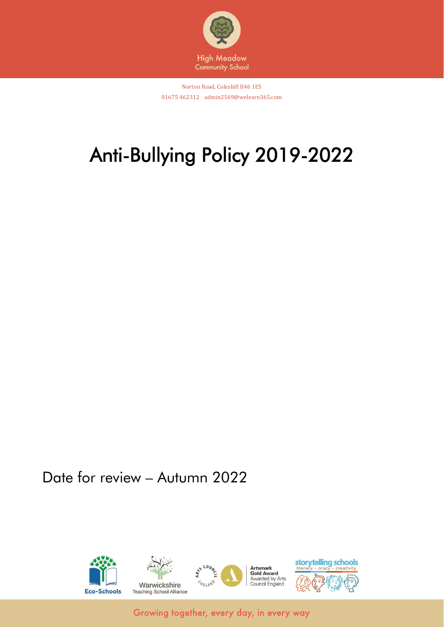

Norton Road, Coleshill B46 1ES 01675 462312 admin2569@welearn365.com

# Anti-Bullying Policy 2019-2022

Date for review – Autumn 2022

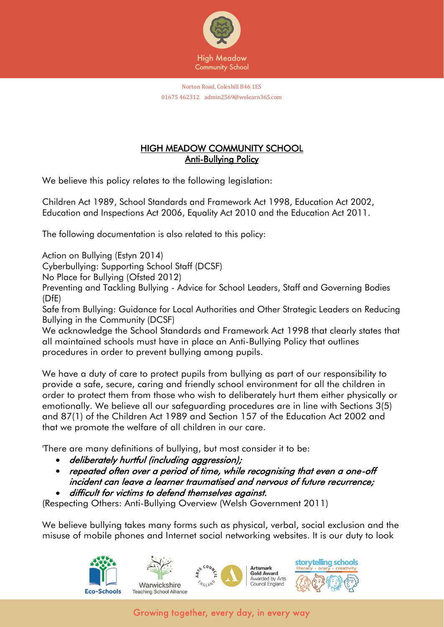

# HIGH MEADOW COMMUNITY SCHOOL Anti-Bullying Policy

We believe this policy relates to the following legislation:

Children Act 1989, School Standards and Framework Act 1998, Education Act 2002, Education and Inspections Act 2006, Equality Act 2010 and the Education Act 2011.

The following documentation is also related to this policy:

Action on Bullying (Estyn 2014)

Cyberbullying: Supporting School Staff (DCSF)

No Place for Bullying (Ofsted 2012)

Preventing and Tackling Bullying - Advice for School Leaders, Staff and Governing Bodies (DfE)

Safe from Bullying: Guidance for Local Authorities and Other Strategic Leaders on Reducing Bullying in the Community (DCSF)

We acknowledge the School Standards and Framework Act 1998 that clearly states that all maintained schools must have in place an Anti-Bullying Policy that outlines procedures in order to prevent bullying among pupils.

We have a duty of care to protect pupils from bullying as part of our responsibility to provide a safe, secure, caring and friendly school environment for all the children in order to protect them from those who wish to deliberately hurt them either physically or emotionally. We believe all our safeguarding procedures are in line with Sections 3(5) and 87(1) of the Children Act 1989 and Section 157 of the Education Act 2002 and that we promote the welfare of all children in our care.

'There are many definitions of bullying, but most consider it to be:

- deliberately hurtful (including aggression);
- repeated often over a period of time, while recognising that even a one-off incident can leave a learner traumatised and nervous of future recurrence;
- difficult for victims to defend themselves against.

(Respecting Others: Anti-Bullying Overview (Welsh Government 2011)

We believe bullying takes many forms such as physical, verbal, social exclusion and the misuse of mobile phones and Internet social networking websites. It is our duty to look

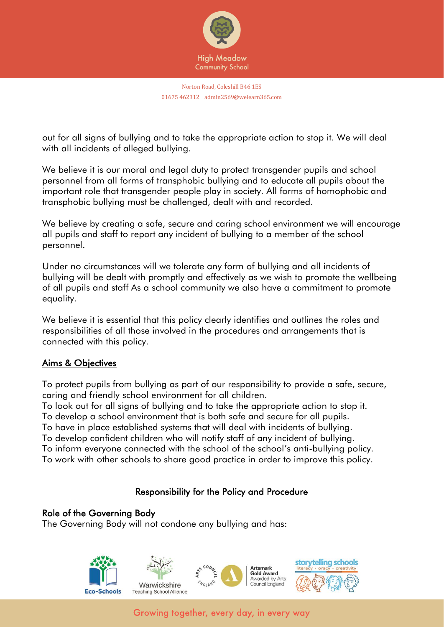

Norton Road, Coleshill B46 1ES 01675 462312 admin2569@welearn365.com

out for all signs of bullying and to take the appropriate action to stop it. We will deal with all incidents of alleged bullying.

We believe it is our moral and legal duty to protect transgender pupils and school personnel from all forms of transphobic bullying and to educate all pupils about the important role that transgender people play in society. All forms of homophobic and transphobic bullying must be challenged, dealt with and recorded.

We believe by creating a safe, secure and caring school environment we will encourage all pupils and staff to report any incident of bullying to a member of the school personnel.

Under no circumstances will we tolerate any form of bullying and all incidents of bullying will be dealt with promptly and effectively as we wish to promote the wellbeing of all pupils and staff As a school community we also have a commitment to promote equality.

We believe it is essential that this policy clearly identifies and outlines the roles and responsibilities of all those involved in the procedures and arrangements that is connected with this policy.

## Aims & Objectives

To protect pupils from bullying as part of our responsibility to provide a safe, secure, caring and friendly school environment for all children.

To look out for all signs of bullying and to take the appropriate action to stop it. To develop a school environment that is both safe and secure for all pupils.

To have in place established systems that will deal with incidents of bullying.

To develop confident children who will notify staff of any incident of bullying.

To inform everyone connected with the school of the school's anti-bullying policy.

To work with other schools to share good practice in order to improve this policy.

## Responsibility for the Policy and Procedure

#### Role of the Governing Body

The Governing Body will not condone any bullying and has:

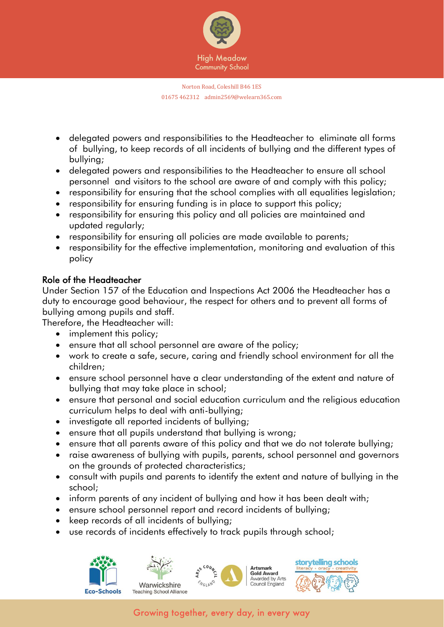

- delegated powers and responsibilities to the Headteacher to eliminate all forms of bullying, to keep records of all incidents of bullying and the different types of bullying;
- delegated powers and responsibilities to the Headteacher to ensure all school personnel and visitors to the school are aware of and comply with this policy;
- responsibility for ensuring that the school complies with all equalities legislation;
- responsibility for ensuring funding is in place to support this policy;
- responsibility for ensuring this policy and all policies are maintained and updated regularly;
- responsibility for ensuring all policies are made available to parents;
- responsibility for the effective implementation, monitoring and evaluation of this policy

## Role of the Headteacher

Under Section 157 of the Education and Inspections Act 2006 the Headteacher has a duty to encourage good behaviour, the respect for others and to prevent all forms of bullying among pupils and staff.

Therefore, the Headteacher will:

- implement this policy;
- ensure that all school personnel are aware of the policy;
- work to create a safe, secure, caring and friendly school environment for all the children;
- ensure school personnel have a clear understanding of the extent and nature of bullying that may take place in school;
- ensure that personal and social education curriculum and the religious education curriculum helps to deal with anti-bullying;
- investigate all reported incidents of bullying;
- ensure that all pupils understand that bullying is wrong;
- ensure that all parents aware of this policy and that we do not tolerate bullying;
- raise awareness of bullying with pupils, parents, school personnel and governors on the grounds of protected characteristics;
- consult with pupils and parents to identify the extent and nature of bullying in the school;
- inform parents of any incident of bullying and how it has been dealt with;
- ensure school personnel report and record incidents of bullying;
- keep records of all incidents of bullying;
- use records of incidents effectively to track pupils through school;





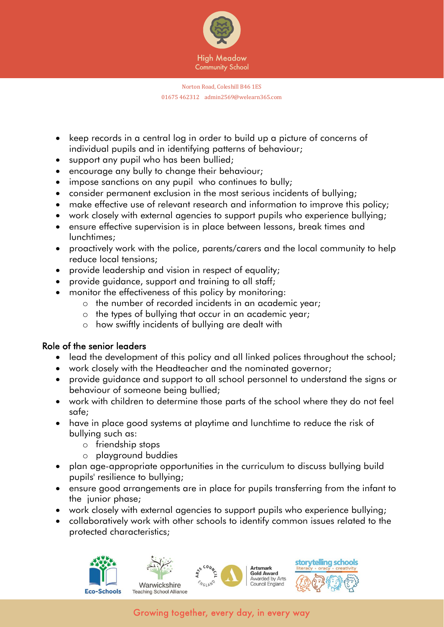

- keep records in a central log in order to build up a picture of concerns of individual pupils and in identifying patterns of behaviour;
- support any pupil who has been bullied;
- encourage any bully to change their behaviour;
- impose sanctions on any pupil who continues to bully;
- consider permanent exclusion in the most serious incidents of bullying;
- make effective use of relevant research and information to improve this policy;
- work closely with external agencies to support pupils who experience bullying;
- ensure effective supervision is in place between lessons, break times and lunchtimes;
- proactively work with the police, parents/carers and the local community to help reduce local tensions;
- provide leadership and vision in respect of equality;
- provide guidance, support and training to all staff;
- monitor the effectiveness of this policy by monitoring:
	- o the number of recorded incidents in an academic year;
	- o the types of bullying that occur in an academic year;
	- o how swiftly incidents of bullying are dealt with

## Role of the senior leaders

- lead the development of this policy and all linked polices throughout the school;
- work closely with the Headteacher and the nominated governor;
- provide guidance and support to all school personnel to understand the signs or behaviour of someone being bullied;
- work with children to determine those parts of the school where they do not feel safe;
- have in place good systems at playtime and lunchtime to reduce the risk of bullying such as:
	- o friendship stops
	- o playground buddies
- plan age-appropriate opportunities in the curriculum to discuss bullying build pupils' resilience to bullying;
- ensure good arrangements are in place for pupils transferring from the infant to the junior phase;
- work closely with external agencies to support pupils who experience bullying;
- collaboratively work with other schools to identify common issues related to the protected characteristics;







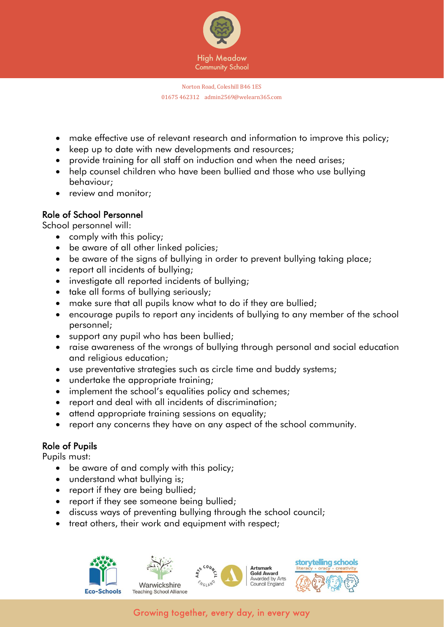

- make effective use of relevant research and information to improve this policy;
- keep up to date with new developments and resources;
- provide training for all staff on induction and when the need arises;
- help counsel children who have been bullied and those who use bullying behaviour;
- review and monitor;

### Role of School Personnel

School personnel will:

- comply with this policy;
- be aware of all other linked policies;
- be aware of the signs of bullying in order to prevent bullying taking place;
- report all incidents of bullying;
- investigate all reported incidents of bullying;
- take all forms of bullying seriously;
- make sure that all pupils know what to do if they are bullied;
- encourage pupils to report any incidents of bullying to any member of the school personnel;
- support any pupil who has been bullied;
- raise awareness of the wrongs of bullying through personal and social education and religious education;
- use preventative strategies such as circle time and buddy systems;
- undertake the appropriate training;
- implement the school's equalities policy and schemes;
- report and deal with all incidents of discrimination;
- attend appropriate training sessions on equality;
- report any concerns they have on any aspect of the school community.

### Role of Pupils

Pupils must:

- be aware of and comply with this policy;
- understand what bullying is;
- report if they are being bullied;
- report if they see someone being bullied;
- discuss ways of preventing bullying through the school council;
- treat others, their work and equipment with respect;



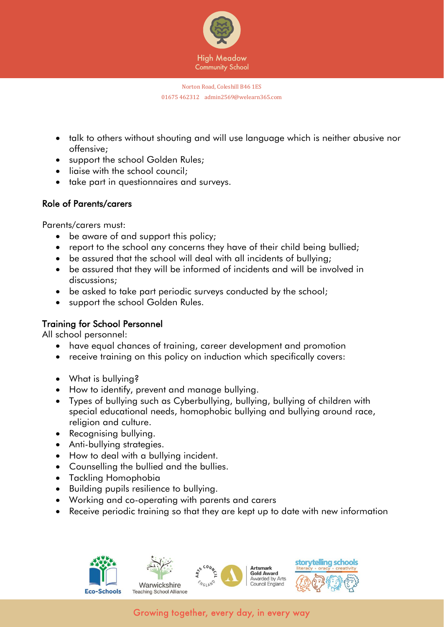

- talk to others without shouting and will use language which is neither abusive nor offensive;
- support the school Golden Rules;
- ligise with the school council:
- take part in questionnaires and surveys.

## Role of Parents/carers

Parents/carers must:

- be aware of and support this policy;
- report to the school any concerns they have of their child being bullied;
- be assured that the school will deal with all incidents of bullying;
- be assured that they will be informed of incidents and will be involved in discussions;
- be asked to take part periodic surveys conducted by the school;
- support the school Golden Rules.

### Training for School Personnel

All school personnel:

- have equal chances of training, career development and promotion
- receive training on this policy on induction which specifically covers:
- What is bullying?
- How to identify, prevent and manage bullying.
- Types of bullying such as Cyberbullying, bullying, bullying of children with special educational needs, homophobic bullying and bullying around race, religion and culture.
- Recognising bullying.
- Anti-bullying strategies.
- How to deal with a bullying incident.
- Counselling the bullied and the bullies.
- Tackling Homophobia
- Building pupils resilience to bullying.
- Working and co-operating with parents and carers
- Receive periodic training so that they are kept up to date with new information







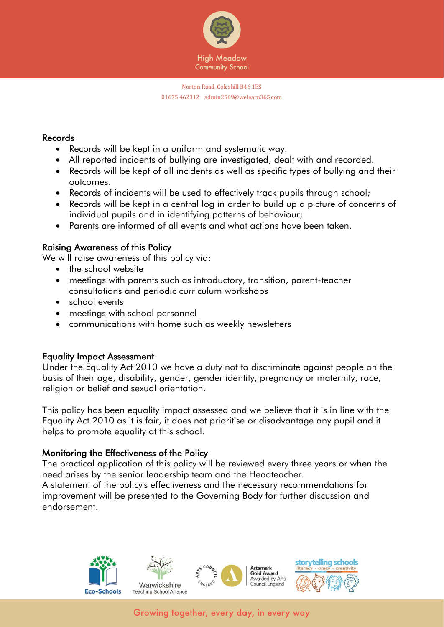

#### Records

- Records will be kept in a uniform and systematic way.
- All reported incidents of bullying are investigated, dealt with and recorded.
- Records will be kept of all incidents as well as specific types of bullying and their outcomes.
- Records of incidents will be used to effectively track pupils through school;
- Records will be kept in a central log in order to build up a picture of concerns of individual pupils and in identifying patterns of behaviour;
- Parents are informed of all events and what actions have been taken.

### Raising Awareness of this Policy

We will raise awareness of this policy via:

- the school website
- meetings with parents such as introductory, transition, parent-teacher consultations and periodic curriculum workshops
- school events
- meetings with school personnel
- communications with home such as weekly newsletters

### Equality Impact Assessment

Under the Equality Act 2010 we have a duty not to discriminate against people on the basis of their age, disability, gender, gender identity, pregnancy or maternity, race, religion or belief and sexual orientation.

This policy has been equality impact assessed and we believe that it is in line with the Equality Act 2010 as it is fair, it does not prioritise or disadvantage any pupil and it helps to promote equality at this school.

### Monitoring the Effectiveness of the Policy

The practical application of this policy will be reviewed every three years or when the need arises by the senior leadership team and the Headteacher.

A statement of the policy's effectiveness and the necessary recommendations for improvement will be presented to the Governing Body for further discussion and endorsement.